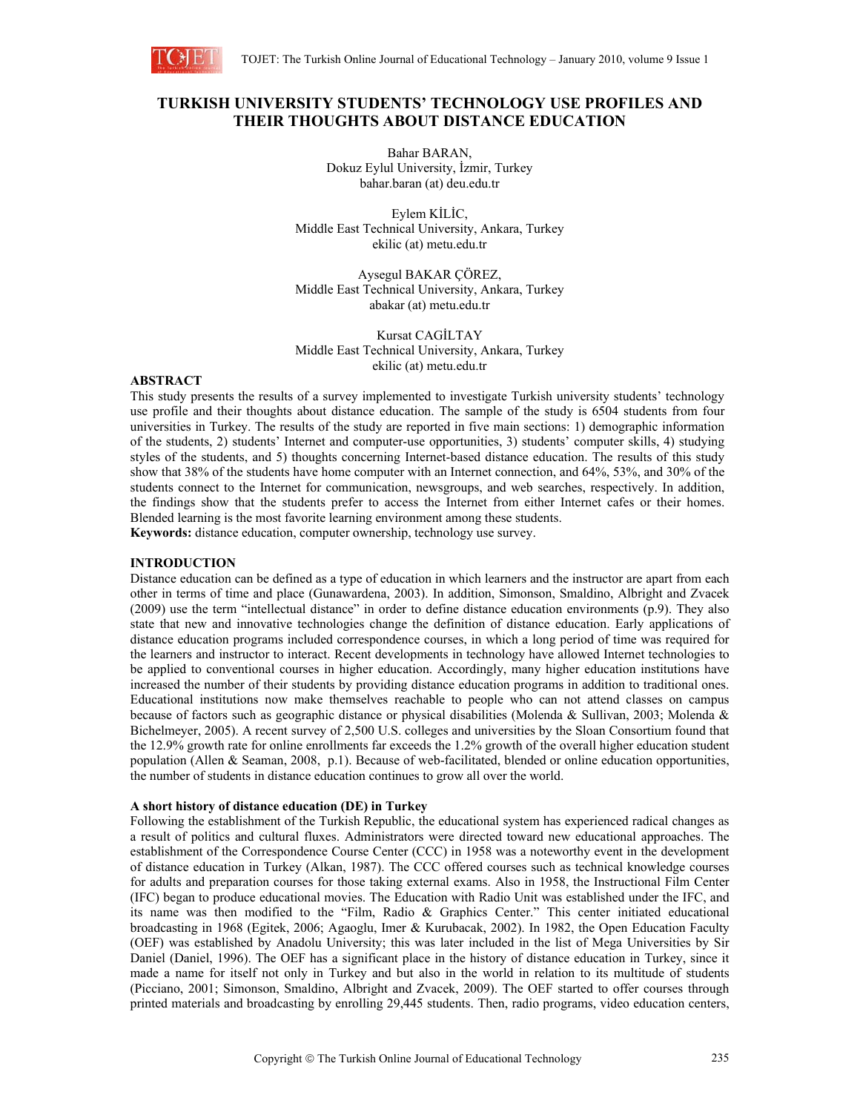

# **TURKISH UNIVERSITY STUDENTS' TECHNOLOGY USE PROFILES AND THEIR THOUGHTS ABOUT DISTANCE EDUCATION**

Bahar BARAN, Dokuz Eylul University, İzmir, Turkey bahar.baran (at) deu.edu.tr

Eylem KİLİC, Middle East Technical University, Ankara, Turkey ekilic (at) metu.edu.tr

Aysegul BAKAR ÇÖREZ, Middle East Technical University, Ankara, Turkey abakar (at) metu.edu.tr

Kursat CAGİLTAY Middle East Technical University, Ankara, Turkey ekilic (at) metu.edu.tr

## **ABSTRACT**

This study presents the results of a survey implemented to investigate Turkish university students' technology use profile and their thoughts about distance education. The sample of the study is 6504 students from four universities in Turkey. The results of the study are reported in five main sections: 1) demographic information of the students, 2) students' Internet and computer-use opportunities, 3) students' computer skills, 4) studying styles of the students, and 5) thoughts concerning Internet-based distance education. The results of this study show that 38% of the students have home computer with an Internet connection, and 64%, 53%, and 30% of the students connect to the Internet for communication, newsgroups, and web searches, respectively. In addition, the findings show that the students prefer to access the Internet from either Internet cafes or their homes. Blended learning is the most favorite learning environment among these students.

**Keywords:** distance education, computer ownership, technology use survey.

### **INTRODUCTION**

Distance education can be defined as a type of education in which learners and the instructor are apart from each other in terms of time and place (Gunawardena, 2003). In addition, Simonson, Smaldino, Albright and Zvacek (2009) use the term "intellectual distance" in order to define distance education environments (p.9). They also state that new and innovative technologies change the definition of distance education. Early applications of distance education programs included correspondence courses, in which a long period of time was required for the learners and instructor to interact. Recent developments in technology have allowed Internet technologies to be applied to conventional courses in higher education. Accordingly, many higher education institutions have increased the number of their students by providing distance education programs in addition to traditional ones. Educational institutions now make themselves reachable to people who can not attend classes on campus because of factors such as geographic distance or physical disabilities (Molenda & Sullivan, 2003; Molenda & Bichelmeyer, 2005). A recent survey of 2,500 U.S. colleges and universities by the Sloan Consortium found that the 12.9% growth rate for online enrollments far exceeds the 1.2% growth of the overall higher education student population (Allen & Seaman, 2008, p.1). Because of web-facilitated, blended or online education opportunities, the number of students in distance education continues to grow all over the world.

#### **A short history of distance education (DE) in Turkey**

Following the establishment of the Turkish Republic, the educational system has experienced radical changes as a result of politics and cultural fluxes. Administrators were directed toward new educational approaches. The establishment of the Correspondence Course Center (CCC) in 1958 was a noteworthy event in the development of distance education in Turkey (Alkan, 1987). The CCC offered courses such as technical knowledge courses for adults and preparation courses for those taking external exams. Also in 1958, the Instructional Film Center (IFC) began to produce educational movies. The Education with Radio Unit was established under the IFC, and its name was then modified to the "Film, Radio & Graphics Center." This center initiated educational broadcasting in 1968 (Egitek, 2006; Agaoglu, Imer & Kurubacak, 2002). In 1982, the Open Education Faculty (OEF) was established by Anadolu University; this was later included in the list of Mega Universities by Sir Daniel (Daniel, 1996). The OEF has a significant place in the history of distance education in Turkey, since it made a name for itself not only in Turkey and but also in the world in relation to its multitude of students (Picciano, 2001; Simonson, Smaldino, Albright and Zvacek, 2009). The OEF started to offer courses through printed materials and broadcasting by enrolling 29,445 students. Then, radio programs, video education centers,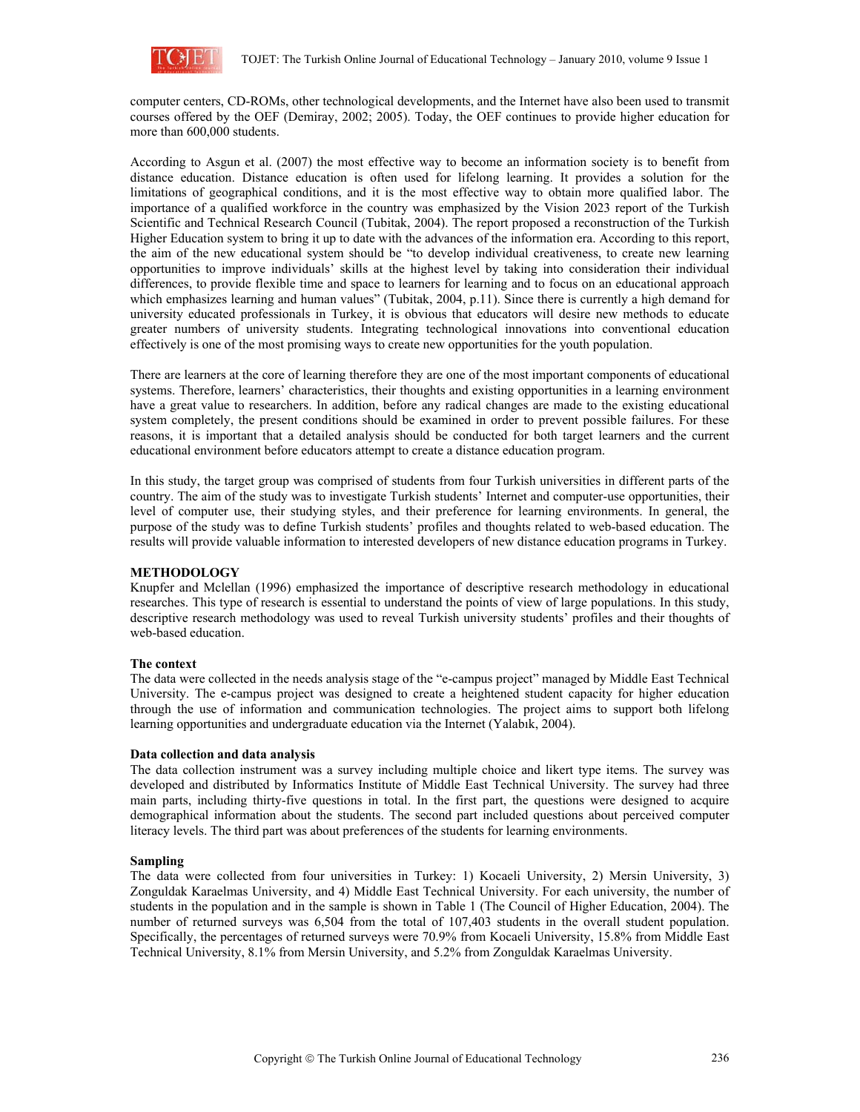

computer centers, CD-ROMs, other technological developments, and the Internet have also been used to transmit courses offered by the OEF (Demiray, 2002; 2005). Today, the OEF continues to provide higher education for more than 600,000 students.

According to Asgun et al. (2007) the most effective way to become an information society is to benefit from distance education. Distance education is often used for lifelong learning. It provides a solution for the limitations of geographical conditions, and it is the most effective way to obtain more qualified labor. The importance of a qualified workforce in the country was emphasized by the Vision 2023 report of the Turkish Scientific and Technical Research Council (Tubitak, 2004). The report proposed a reconstruction of the Turkish Higher Education system to bring it up to date with the advances of the information era. According to this report, the aim of the new educational system should be "to develop individual creativeness, to create new learning opportunities to improve individuals' skills at the highest level by taking into consideration their individual differences, to provide flexible time and space to learners for learning and to focus on an educational approach which emphasizes learning and human values" (Tubitak, 2004, p.11). Since there is currently a high demand for university educated professionals in Turkey, it is obvious that educators will desire new methods to educate greater numbers of university students. Integrating technological innovations into conventional education effectively is one of the most promising ways to create new opportunities for the youth population.

There are learners at the core of learning therefore they are one of the most important components of educational systems. Therefore, learners' characteristics, their thoughts and existing opportunities in a learning environment have a great value to researchers. In addition, before any radical changes are made to the existing educational system completely, the present conditions should be examined in order to prevent possible failures. For these reasons, it is important that a detailed analysis should be conducted for both target learners and the current educational environment before educators attempt to create a distance education program.

In this study, the target group was comprised of students from four Turkish universities in different parts of the country. The aim of the study was to investigate Turkish students' Internet and computer-use opportunities, their level of computer use, their studying styles, and their preference for learning environments. In general, the purpose of the study was to define Turkish students' profiles and thoughts related to web-based education. The results will provide valuable information to interested developers of new distance education programs in Turkey.

# **METHODOLOGY**

Knupfer and Mclellan (1996) emphasized the importance of descriptive research methodology in educational researches. This type of research is essential to understand the points of view of large populations. In this study, descriptive research methodology was used to reveal Turkish university students' profiles and their thoughts of web-based education.

### **The context**

The data were collected in the needs analysis stage of the "e-campus project" managed by Middle East Technical University. The e-campus project was designed to create a heightened student capacity for higher education through the use of information and communication technologies. The project aims to support both lifelong learning opportunities and undergraduate education via the Internet (Yalabık, 2004).

### **Data collection and data analysis**

The data collection instrument was a survey including multiple choice and likert type items. The survey was developed and distributed by Informatics Institute of Middle East Technical University. The survey had three main parts, including thirty-five questions in total. In the first part, the questions were designed to acquire demographical information about the students. The second part included questions about perceived computer literacy levels. The third part was about preferences of the students for learning environments.

### **Sampling**

The data were collected from four universities in Turkey: 1) Kocaeli University, 2) Mersin University, 3) Zonguldak Karaelmas University, and 4) Middle East Technical University. For each university, the number of students in the population and in the sample is shown in Table 1 (The Council of Higher Education, 2004). The number of returned surveys was 6,504 from the total of 107,403 students in the overall student population. Specifically, the percentages of returned surveys were 70.9% from Kocaeli University, 15.8% from Middle East Technical University, 8.1% from Mersin University, and 5.2% from Zonguldak Karaelmas University.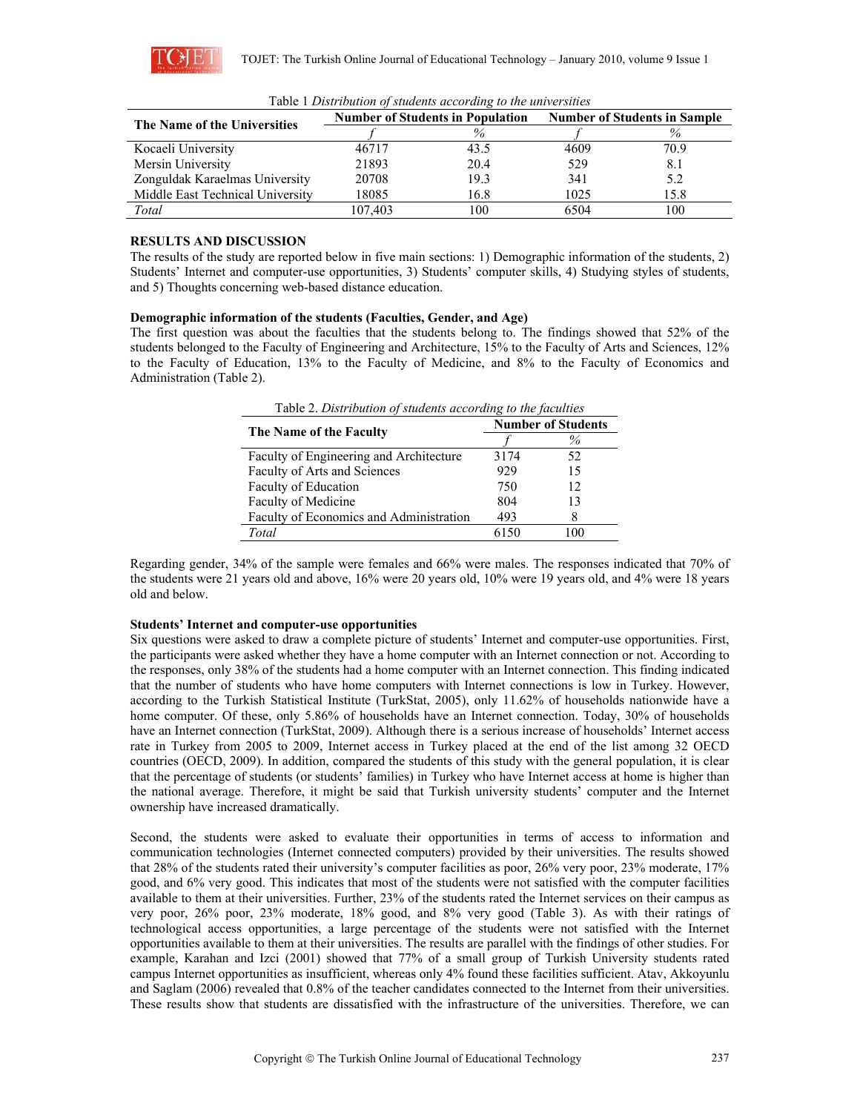

| The Name of the Universities     |         | <b>Number of Students in Population</b> | <b>Number of Students in Sample</b> |      |
|----------------------------------|---------|-----------------------------------------|-------------------------------------|------|
|                                  |         | $\%$                                    |                                     |      |
| Kocaeli University               | 46717   | 43.5                                    | 4609                                | 70.9 |
| Mersin University                | 21893   | 20.4                                    | 529                                 | 8.1  |
| Zonguldak Karaelmas University   | 20708   | 19.3                                    | 341                                 | 5.2  |
| Middle East Technical University | 18085   | 16.8                                    | 1025                                | 15.8 |
| Total                            | 107.403 | 100                                     | 6504                                | 100  |

Table 1 *Distribution of students according to the universities*

# **RESULTS AND DISCUSSION**

The results of the study are reported below in five main sections: 1) Demographic information of the students, 2) Students' Internet and computer-use opportunities, 3) Students' computer skills, 4) Studying styles of students, and 5) Thoughts concerning web-based distance education.

## **Demographic information of the students (Faculties, Gender, and Age)**

The first question was about the faculties that the students belong to. The findings showed that 52% of the students belonged to the Faculty of Engineering and Architecture, 15% to the Faculty of Arts and Sciences, 12% to the Faculty of Education, 13% to the Faculty of Medicine, and 8% to the Faculty of Economics and Administration (Table 2).

| Table 2. Distribution of students according to the faculties |                           |      |  |  |  |  |
|--------------------------------------------------------------|---------------------------|------|--|--|--|--|
|                                                              | <b>Number of Students</b> |      |  |  |  |  |
| The Name of the Faculty                                      |                           | $\%$ |  |  |  |  |
| Faculty of Engineering and Architecture                      | 3174                      | 52   |  |  |  |  |
| Faculty of Arts and Sciences                                 | 929                       | 15   |  |  |  |  |
| Faculty of Education                                         | 750                       | 12   |  |  |  |  |
| Faculty of Medicine                                          | 804                       | 13   |  |  |  |  |
| Faculty of Economics and Administration                      | 493                       | 8    |  |  |  |  |
| Total                                                        | 6150                      | 100  |  |  |  |  |

Regarding gender, 34% of the sample were females and 66% were males. The responses indicated that 70% of the students were 21 years old and above, 16% were 20 years old, 10% were 19 years old, and 4% were 18 years old and below.

# **Students' Internet and computer-use opportunities**

Six questions were asked to draw a complete picture of students' Internet and computer-use opportunities. First, the participants were asked whether they have a home computer with an Internet connection or not. According to the responses, only 38% of the students had a home computer with an Internet connection. This finding indicated that the number of students who have home computers with Internet connections is low in Turkey. However, according to the Turkish Statistical Institute (TurkStat, 2005), only 11.62% of households nationwide have a home computer. Of these, only 5.86% of households have an Internet connection. Today, 30% of households have an Internet connection (TurkStat, 2009). Although there is a serious increase of households' Internet access rate in Turkey from 2005 to 2009, Internet access in Turkey placed at the end of the list among 32 OECD countries (OECD, 2009). In addition, compared the students of this study with the general population, it is clear that the percentage of students (or students' families) in Turkey who have Internet access at home is higher than the national average. Therefore, it might be said that Turkish university students' computer and the Internet ownership have increased dramatically.

Second, the students were asked to evaluate their opportunities in terms of access to information and communication technologies (Internet connected computers) provided by their universities. The results showed that 28% of the students rated their university's computer facilities as poor, 26% very poor, 23% moderate, 17% good, and 6% very good. This indicates that most of the students were not satisfied with the computer facilities available to them at their universities. Further, 23% of the students rated the Internet services on their campus as very poor, 26% poor, 23% moderate, 18% good, and 8% very good (Table 3). As with their ratings of technological access opportunities, a large percentage of the students were not satisfied with the Internet opportunities available to them at their universities. The results are parallel with the findings of other studies. For example, Karahan and Izci (2001) showed that 77% of a small group of Turkish University students rated campus Internet opportunities as insufficient, whereas only 4% found these facilities sufficient. Atav, Akkoyunlu and Saglam (2006) revealed that 0.8% of the teacher candidates connected to the Internet from their universities. These results show that students are dissatisfied with the infrastructure of the universities. Therefore, we can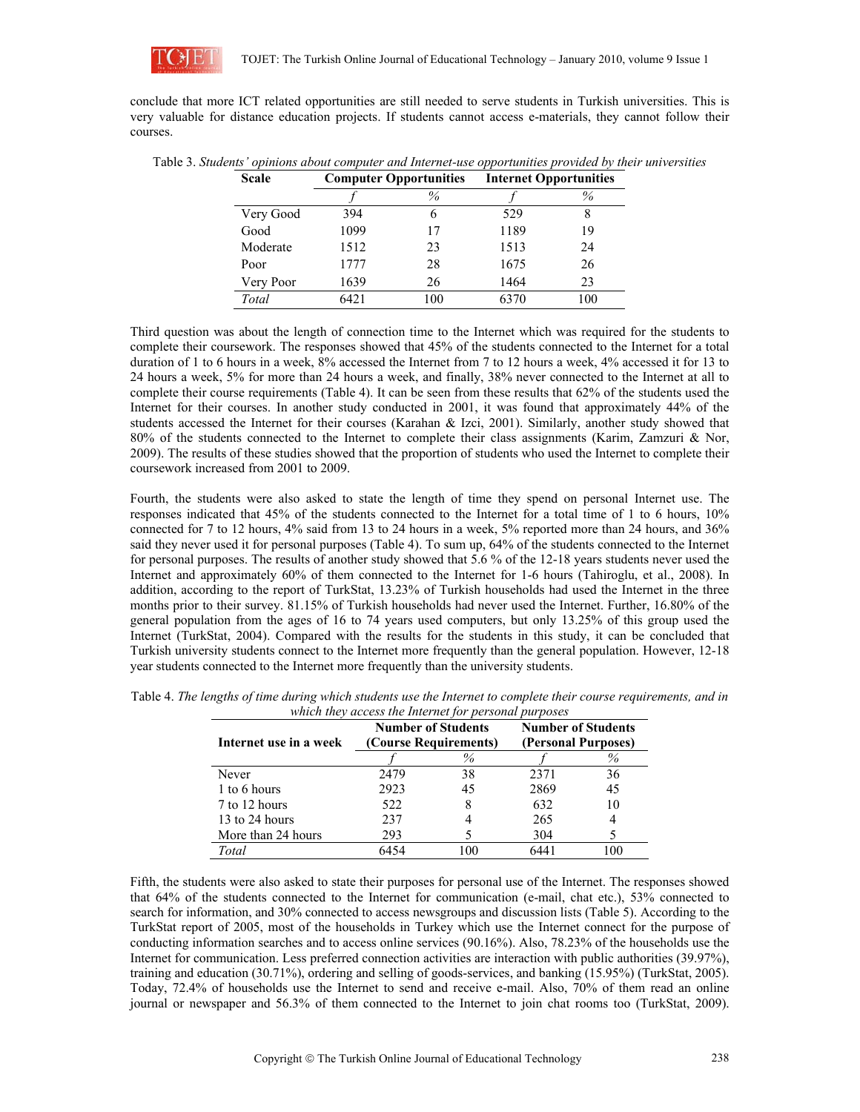

conclude that more ICT related opportunities are still needed to serve students in Turkish universities. This is very valuable for distance education projects. If students cannot access e-materials, they cannot follow their courses.

| <b>Scale</b> | <b>Computer Opportunities</b> |     |      | <b>Internet Opportunities</b> |  |  |
|--------------|-------------------------------|-----|------|-------------------------------|--|--|
|              |                               | %   |      | $\%$                          |  |  |
| Very Good    | 394                           | h   | 529  |                               |  |  |
| Good         | 1099                          | 17  | 1189 | 19                            |  |  |
| Moderate     | 1512                          | 23  | 1513 | 24                            |  |  |
| Poor         | 1777                          | 28  | 1675 | 26                            |  |  |
| Very Poor    | 1639                          | 26  | 1464 | 23                            |  |  |
| Total        | 642.1                         | 100 | 6370 | 100                           |  |  |

Table 3. *Students' opinions about computer and Internet-use opportunities provided by their universities*

Third question was about the length of connection time to the Internet which was required for the students to complete their coursework. The responses showed that 45% of the students connected to the Internet for a total duration of 1 to 6 hours in a week, 8% accessed the Internet from 7 to 12 hours a week, 4% accessed it for 13 to 24 hours a week, 5% for more than 24 hours a week, and finally, 38% never connected to the Internet at all to complete their course requirements (Table 4). It can be seen from these results that 62% of the students used the Internet for their courses. In another study conducted in 2001, it was found that approximately 44% of the students accessed the Internet for their courses (Karahan & Izci, 2001). Similarly, another study showed that 80% of the students connected to the Internet to complete their class assignments (Karim, Zamzuri & Nor, 2009). The results of these studies showed that the proportion of students who used the Internet to complete their coursework increased from 2001 to 2009.

Fourth, the students were also asked to state the length of time they spend on personal Internet use. The responses indicated that 45% of the students connected to the Internet for a total time of 1 to 6 hours, 10% connected for 7 to 12 hours, 4% said from 13 to 24 hours in a week, 5% reported more than 24 hours, and 36% said they never used it for personal purposes (Table 4). To sum up, 64% of the students connected to the Internet for personal purposes. The results of another study showed that 5.6 % of the 12-18 years students never used the Internet and approximately 60% of them connected to the Internet for 1-6 hours (Tahiroglu, et al., 2008). In addition, according to the report of TurkStat, 13.23% of Turkish households had used the Internet in the three months prior to their survey. 81.15% of Turkish households had never used the Internet. Further, 16.80% of the general population from the ages of 16 to 74 years used computers, but only 13.25% of this group used the Internet (TurkStat, 2004). Compared with the results for the students in this study, it can be concluded that Turkish university students connect to the Internet more frequently than the general population. However, 12-18 year students connected to the Internet more frequently than the university students.

| Internet use in a week |      | <b>Number of Students</b><br>(Course Requirements) | <b>Number of Students</b><br>(Personal Purposes) |     |
|------------------------|------|----------------------------------------------------|--------------------------------------------------|-----|
|                        |      | $\%$                                               |                                                  | %   |
| Never                  | 2479 | 38                                                 | 2371                                             | 36  |
| 1 to 6 hours           | 2923 | 45                                                 | 2869                                             | 45  |
| 7 to 12 hours          | 522  | 8                                                  | 632                                              | 10  |
| 13 to 24 hours         | 237  |                                                    | 265                                              | 4   |
| More than 24 hours     | 293  |                                                    | 304                                              |     |
| Total                  | 6454 | 0 <sup>0</sup>                                     | 6441                                             | 100 |

| Table 4. The lengths of time during which students use the Internet to complete their course requirements, and in |  |
|-------------------------------------------------------------------------------------------------------------------|--|
| which they access the Internet for personal purposes                                                              |  |

Fifth, the students were also asked to state their purposes for personal use of the Internet. The responses showed that 64% of the students connected to the Internet for communication (e-mail, chat etc.), 53% connected to search for information, and 30% connected to access newsgroups and discussion lists (Table 5). According to the TurkStat report of 2005, most of the households in Turkey which use the Internet connect for the purpose of conducting information searches and to access online services (90.16%). Also, 78.23% of the households use the Internet for communication. Less preferred connection activities are interaction with public authorities (39.97%), training and education (30.71%), ordering and selling of goods-services, and banking (15.95%) (TurkStat, 2005). Today, 72.4% of households use the Internet to send and receive e-mail. Also, 70% of them read an online journal or newspaper and 56.3% of them connected to the Internet to join chat rooms too (TurkStat, 2009).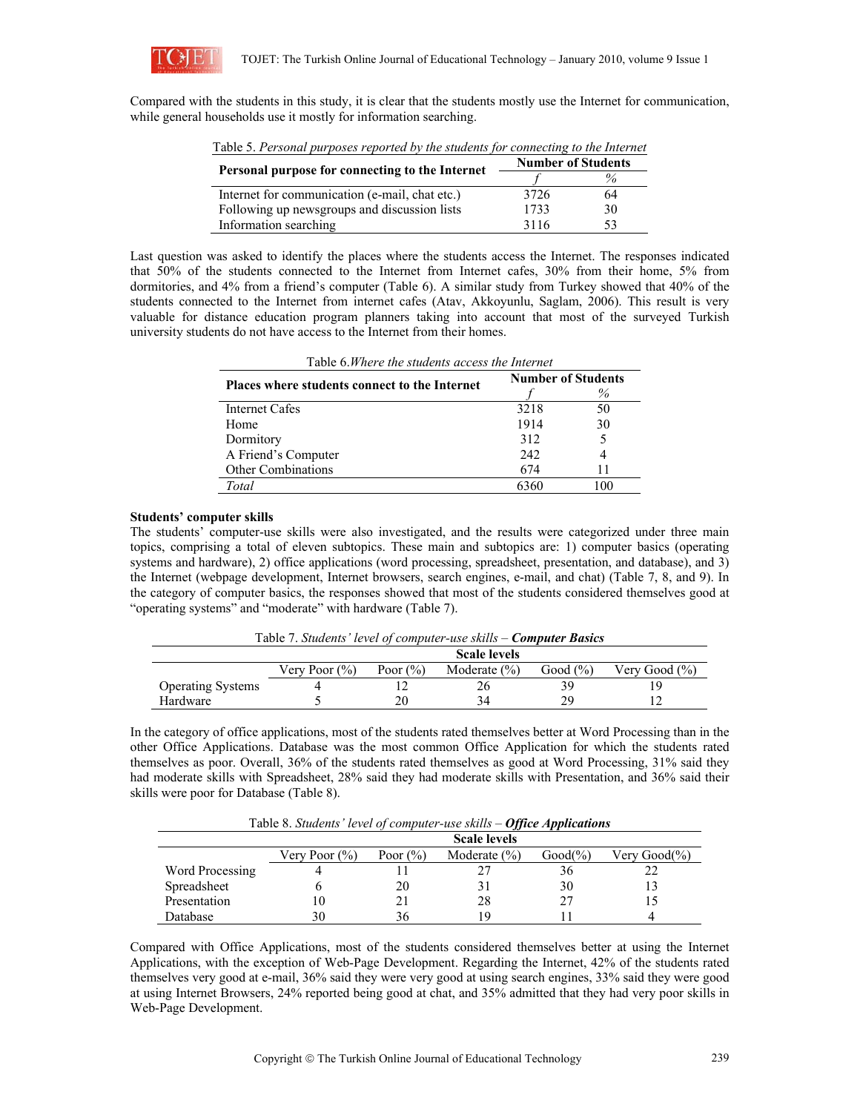

Compared with the students in this study, it is clear that the students mostly use the Internet for communication, while general households use it mostly for information searching.

| Table 5. Personal purposes reported by the students for connecting to the internet |                           |      |  |  |  |  |
|------------------------------------------------------------------------------------|---------------------------|------|--|--|--|--|
| Personal purpose for connecting to the Internet                                    | <b>Number of Students</b> |      |  |  |  |  |
|                                                                                    |                           | $\%$ |  |  |  |  |
| Internet for communication (e-mail, chat etc.)                                     | 3726                      | 64   |  |  |  |  |
| Following up newsgroups and discussion lists                                       | 1733                      | 30   |  |  |  |  |
| Information searching                                                              | 3116                      | 53   |  |  |  |  |

Table 5. *Personal purposes reported by the students for connecting to the Internet*

Last question was asked to identify the places where the students access the Internet. The responses indicated that 50% of the students connected to the Internet from Internet cafes, 30% from their home, 5% from dormitories, and 4% from a friend's computer (Table 6). A similar study from Turkey showed that 40% of the students connected to the Internet from internet cafes (Atav, Akkoyunlu, Saglam, 2006). This result is very valuable for distance education program planners taking into account that most of the surveyed Turkish university students do not have access to the Internet from their homes.

| Table 6. <i>W</i> here the students access the Internet |                           |     |  |  |  |
|---------------------------------------------------------|---------------------------|-----|--|--|--|
| Places where students connect to the Internet           | <b>Number of Students</b> |     |  |  |  |
|                                                         |                           | %   |  |  |  |
| Internet Cafes                                          | 3218                      | 50  |  |  |  |
| Home                                                    | 1914                      | 30  |  |  |  |
| Dormitory                                               | 312                       | 5   |  |  |  |
| A Friend's Computer                                     | 2.42                      |     |  |  |  |
| <b>Other Combinations</b>                               | 674                       | 11  |  |  |  |
| Total                                                   | 6360                      | 100 |  |  |  |
|                                                         |                           |     |  |  |  |

Table 6.*Where the students access the Internet*

### **Students' computer skills**

The students' computer-use skills were also investigated, and the results were categorized under three main topics, comprising a total of eleven subtopics. These main and subtopics are: 1) computer basics (operating systems and hardware), 2) office applications (word processing, spreadsheet, presentation, and database), and 3) the Internet (webpage development, Internet browsers, search engines, e-mail, and chat) (Table 7, 8, and 9). In the category of computer basics, the responses showed that most of the students considered themselves good at "operating systems" and "moderate" with hardware (Table 7).

Table 7. *Students' level of computer-use skills – Computer Basics* 

| <b>Scale levels</b>      |                   |              |                  |             |                   |
|--------------------------|-------------------|--------------|------------------|-------------|-------------------|
|                          | Very Poor $(\% )$ | Poor $(\% )$ | Moderate $(\% )$ | Good $(\%)$ | Very Good $(\% )$ |
| <b>Operating Systems</b> |                   |              | ΖC               | 39          | ۱9                |
| Hardware                 |                   |              |                  | 2Q.         |                   |

In the category of office applications, most of the students rated themselves better at Word Processing than in the other Office Applications. Database was the most common Office Application for which the students rated themselves as poor. Overall, 36% of the students rated themselves as good at Word Processing, 31% said they had moderate skills with Spreadsheet, 28% said they had moderate skills with Presentation, and 36% said their skills were poor for Database (Table 8).

| Tuble 0. Billwing terel of complied the shifts<br>$\sigma$ // $\kappa$ c $\mu$ <sub>11</sub> $\mu$ $\mu$ $\kappa$ canonis |                     |              |                  |             |              |
|---------------------------------------------------------------------------------------------------------------------------|---------------------|--------------|------------------|-------------|--------------|
|                                                                                                                           | <b>Scale levels</b> |              |                  |             |              |
|                                                                                                                           | Very Poor $(\%)$    | Poor $(\% )$ | Moderate $(\% )$ | $Good(\% )$ | Very Good(%) |
| Word Processing                                                                                                           |                     |              |                  | 36.         |              |
| Spreadsheet                                                                                                               |                     | 20           |                  | 30          |              |
| Presentation                                                                                                              | 10                  |              | 28               | 27          |              |
| Database                                                                                                                  | 30                  | 36           | 1 Q              |             |              |

Table 8. *Students' level of computer-use skills – Office Applications* 

Compared with Office Applications, most of the students considered themselves better at using the Internet Applications, with the exception of Web-Page Development. Regarding the Internet, 42% of the students rated themselves very good at e-mail, 36% said they were very good at using search engines, 33% said they were good at using Internet Browsers, 24% reported being good at chat, and 35% admitted that they had very poor skills in Web-Page Development.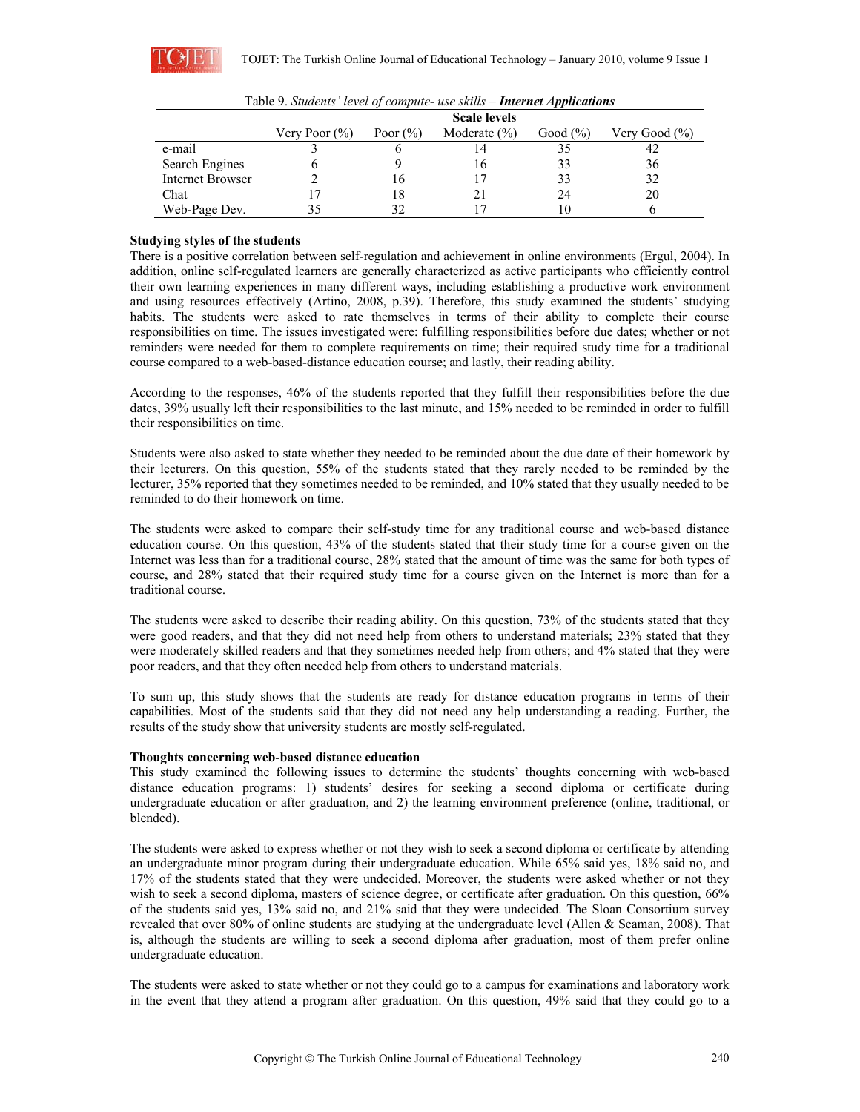

|                  | <b>Scale levels</b> |              |                  |              |                   |
|------------------|---------------------|--------------|------------------|--------------|-------------------|
|                  | Very Poor $(\%)$    | Poor $(\% )$ | Moderate $(\% )$ | Good $(\% )$ | Very Good $(\% )$ |
| e-mail           |                     |              |                  |              | 42                |
| Search Engines   |                     |              | 16               | 33           | 36                |
| Internet Browser |                     | 16           |                  | 33           | 32                |
| Chat             |                     |              |                  | 24           | 20                |
| Web-Page Dev.    | 35                  |              |                  |              |                   |

|  |  |  | Table 9. Students' level of compute- use skills - Internet Applications |
|--|--|--|-------------------------------------------------------------------------|
|--|--|--|-------------------------------------------------------------------------|

## **Studying styles of the students**

There is a positive correlation between self-regulation and achievement in online environments (Ergul, 2004). In addition, online self-regulated learners are generally characterized as active participants who efficiently control their own learning experiences in many different ways, including establishing a productive work environment and using resources effectively (Artino, 2008, p.39). Therefore, this study examined the students' studying habits. The students were asked to rate themselves in terms of their ability to complete their course responsibilities on time. The issues investigated were: fulfilling responsibilities before due dates; whether or not reminders were needed for them to complete requirements on time; their required study time for a traditional course compared to a web-based-distance education course; and lastly, their reading ability.

According to the responses, 46% of the students reported that they fulfill their responsibilities before the due dates, 39% usually left their responsibilities to the last minute, and 15% needed to be reminded in order to fulfill their responsibilities on time.

Students were also asked to state whether they needed to be reminded about the due date of their homework by their lecturers. On this question, 55% of the students stated that they rarely needed to be reminded by the lecturer, 35% reported that they sometimes needed to be reminded, and 10% stated that they usually needed to be reminded to do their homework on time.

The students were asked to compare their self-study time for any traditional course and web-based distance education course. On this question, 43% of the students stated that their study time for a course given on the Internet was less than for a traditional course, 28% stated that the amount of time was the same for both types of course, and 28% stated that their required study time for a course given on the Internet is more than for a traditional course.

The students were asked to describe their reading ability. On this question, 73% of the students stated that they were good readers, and that they did not need help from others to understand materials; 23% stated that they were moderately skilled readers and that they sometimes needed help from others; and 4% stated that they were poor readers, and that they often needed help from others to understand materials.

To sum up, this study shows that the students are ready for distance education programs in terms of their capabilities. Most of the students said that they did not need any help understanding a reading. Further, the results of the study show that university students are mostly self-regulated.

### **Thoughts concerning web-based distance education**

This study examined the following issues to determine the students' thoughts concerning with web-based distance education programs: 1) students' desires for seeking a second diploma or certificate during undergraduate education or after graduation, and 2) the learning environment preference (online, traditional, or blended).

The students were asked to express whether or not they wish to seek a second diploma or certificate by attending an undergraduate minor program during their undergraduate education. While 65% said yes, 18% said no, and 17% of the students stated that they were undecided. Moreover, the students were asked whether or not they wish to seek a second diploma, masters of science degree, or certificate after graduation. On this question, 66% of the students said yes, 13% said no, and 21% said that they were undecided. The Sloan Consortium survey revealed that over 80% of online students are studying at the undergraduate level (Allen & Seaman, 2008). That is, although the students are willing to seek a second diploma after graduation, most of them prefer online undergraduate education.

The students were asked to state whether or not they could go to a campus for examinations and laboratory work in the event that they attend a program after graduation. On this question, 49% said that they could go to a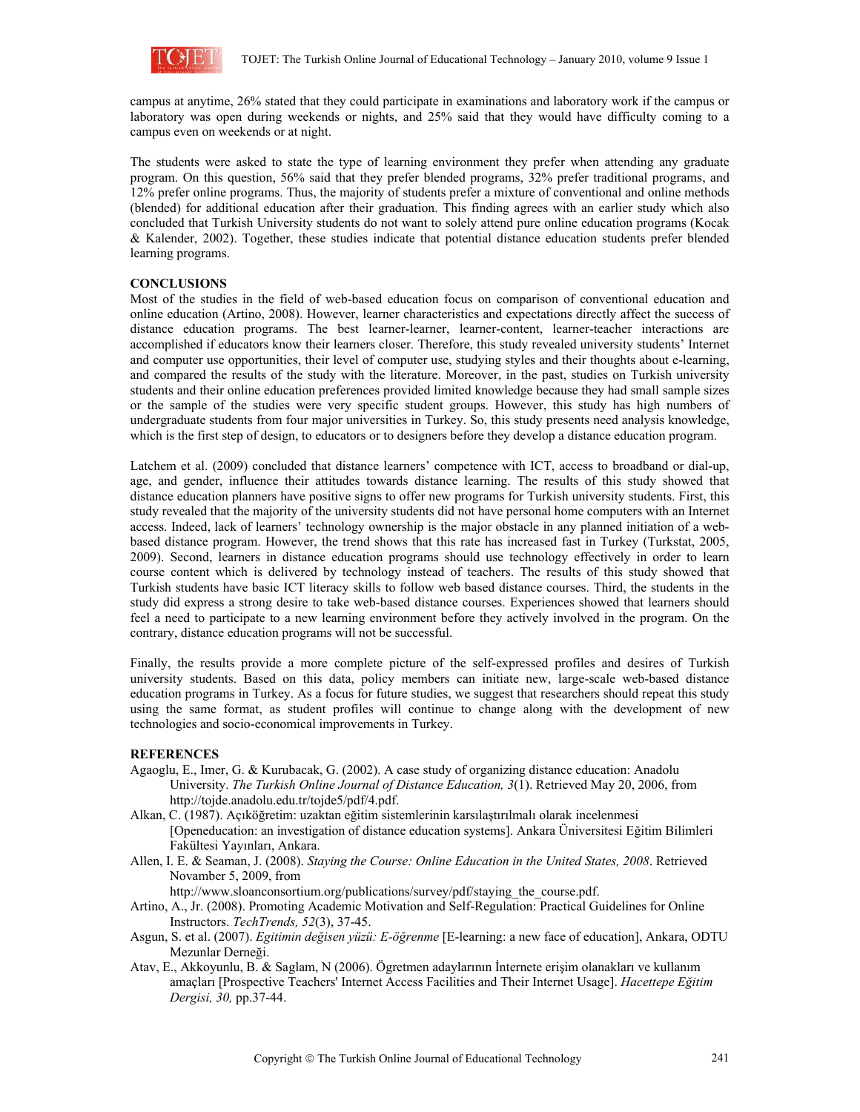

campus at anytime, 26% stated that they could participate in examinations and laboratory work if the campus or laboratory was open during weekends or nights, and 25% said that they would have difficulty coming to a campus even on weekends or at night.

The students were asked to state the type of learning environment they prefer when attending any graduate program. On this question, 56% said that they prefer blended programs, 32% prefer traditional programs, and 12% prefer online programs. Thus, the majority of students prefer a mixture of conventional and online methods (blended) for additional education after their graduation. This finding agrees with an earlier study which also concluded that Turkish University students do not want to solely attend pure online education programs (Kocak & Kalender, 2002). Together, these studies indicate that potential distance education students prefer blended learning programs.

## **CONCLUSIONS**

Most of the studies in the field of web-based education focus on comparison of conventional education and online education (Artino, 2008). However, learner characteristics and expectations directly affect the success of distance education programs. The best learner-learner, learner-content, learner-teacher interactions are accomplished if educators know their learners closer. Therefore, this study revealed university students' Internet and computer use opportunities, their level of computer use, studying styles and their thoughts about e-learning, and compared the results of the study with the literature. Moreover, in the past, studies on Turkish university students and their online education preferences provided limited knowledge because they had small sample sizes or the sample of the studies were very specific student groups. However, this study has high numbers of undergraduate students from four major universities in Turkey. So, this study presents need analysis knowledge, which is the first step of design, to educators or to designers before they develop a distance education program.

Latchem et al. (2009) concluded that distance learners' competence with ICT, access to broadband or dial-up, age, and gender, influence their attitudes towards distance learning. The results of this study showed that distance education planners have positive signs to offer new programs for Turkish university students. First, this study revealed that the majority of the university students did not have personal home computers with an Internet access. Indeed, lack of learners' technology ownership is the major obstacle in any planned initiation of a webbased distance program. However, the trend shows that this rate has increased fast in Turkey (Turkstat, 2005, 2009). Second, learners in distance education programs should use technology effectively in order to learn course content which is delivered by technology instead of teachers. The results of this study showed that Turkish students have basic ICT literacy skills to follow web based distance courses. Third, the students in the study did express a strong desire to take web-based distance courses. Experiences showed that learners should feel a need to participate to a new learning environment before they actively involved in the program. On the contrary, distance education programs will not be successful.

Finally, the results provide a more complete picture of the self-expressed profiles and desires of Turkish university students. Based on this data, policy members can initiate new, large-scale web-based distance education programs in Turkey. As a focus for future studies, we suggest that researchers should repeat this study using the same format, as student profiles will continue to change along with the development of new technologies and socio-economical improvements in Turkey.

### **REFERENCES**

- Agaoglu, E., Imer, G. & Kurubacak, G. (2002). A case study of organizing distance education: Anadolu University. *The Turkish Online Journal of Distance Education, 3*(1). Retrieved May 20, 2006, from http://tojde.anadolu.edu.tr/tojde5/pdf/4.pdf.
- Alkan, C. (1987). Açıköğretim: uzaktan eğitim sistemlerinin karsılaştırılmalı olarak incelenmesi [Openeducation: an investigation of distance education systems]. Ankara Üniversitesi Eğitim Bilimleri Fakültesi Yayınları, Ankara.
- Allen, I. E. & Seaman, J. (2008). *Staying the Course: Online Education in the United States, 2008*. Retrieved Novamber 5, 2009, from

http://www.sloanconsortium.org/publications/survey/pdf/staying\_the\_course.pdf.

- Artino, A., Jr. (2008). Promoting Academic Motivation and Self-Regulation: Practical Guidelines for Online Instructors. *TechTrends, 52*(3), 37-45.
- Asgun, S. et al. (2007). *Egitimin değisen yüzü: E-öğrenme* [E-learning: a new face of education], Ankara, ODTU Mezunlar Derneği.
- Atav, E., Akkoyunlu, B. & Saglam, N (2006). Ögretmen adaylarının İnternete erişim olanakları ve kullanım amaçları [Prospective Teachers' Internet Access Facilities and Their Internet Usage]. *Hacettepe Eğitim Dergisi, 30,* pp.37-44.